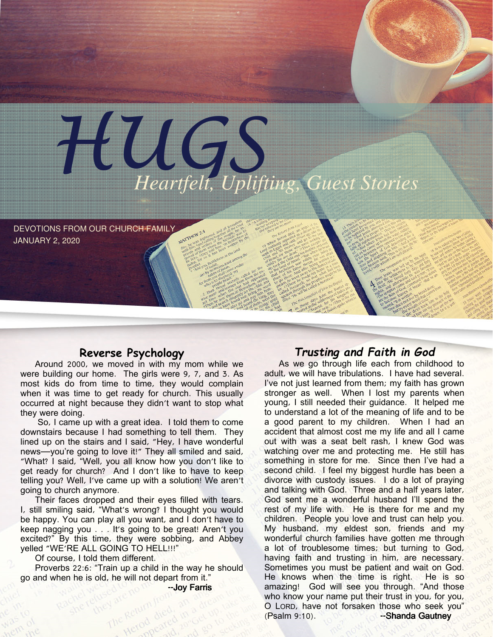

DEVOTIONS FROM OUR CHURCH FAMILY JANUARY 2, 2020

### Reverse Psychology

Around 2000, we moved in with my mom while we were building our home. The girls were 9, 7, and 3. As most kids do from time to time, they would complain when it was time to get ready for church. This usually occurred at night because they didn't want to stop what they were doing.

 So, I came up with a great idea. I told them to come downstairs because I had something to tell them. They lined up on the stairs and I said, "Hey, I have wonderful news—you're going to love it!" They all smiled and said, "What? I said, "Well, you all know how you don't like to get ready for church? And I don't like to have to keep telling you? Well, I've came up with a solution! We aren't going to church anymore.

Their faces dropped and their eyes filled with tears. I, still smiling said, "What's wrong? I thought you would be happy. You can play all you want, and I don't have to keep nagging you . . . It's going to be great! Aren't you excited?" By this time, they were sobbing, and Abbey yelled "WE'RE ALL GOING TO HELL!!!"

Of course, I told them different.

Proverbs 22:6: "Train up a child in the way he should go and when he is old, he will not depart from it."

d to no me you **Joy Farris** 

## Trusting and Faith in God

As we go through life each from childhood to adult, we will have tribulations. I have had several. I've not just learned from them; my faith has grown stronger as well. When I lost my parents when young, I still needed their guidance. It helped me to understand a lot of the meaning of life and to be a good parent to my children. When I had an accident that almost cost me my life and all I came out with was a seat belt rash, I knew God was watching over me and protecting me. He still has something in store for me. Since then I've had a second child. I feel my biggest hurdle has been a divorce with custody issues. I do a lot of praying and talking with God. Three and a half years later, God sent me a wonderful husband I'll spend the rest of my life with. He is there for me and my children. People you love and trust can help you. My husband, my eldest son, friends and my wonderful church families have gotten me through a lot of troublesome times; but turning to God, having faith and trusting in him, are necessary. Sometimes you must be patient and wait on God. He knows when the time is right. He is so amazing! God will see you through. "And those who know your name put their trust in you, for you, O LORD, have not forsaken those who seek you" (Psalm 9:10). --Shanda Gautney